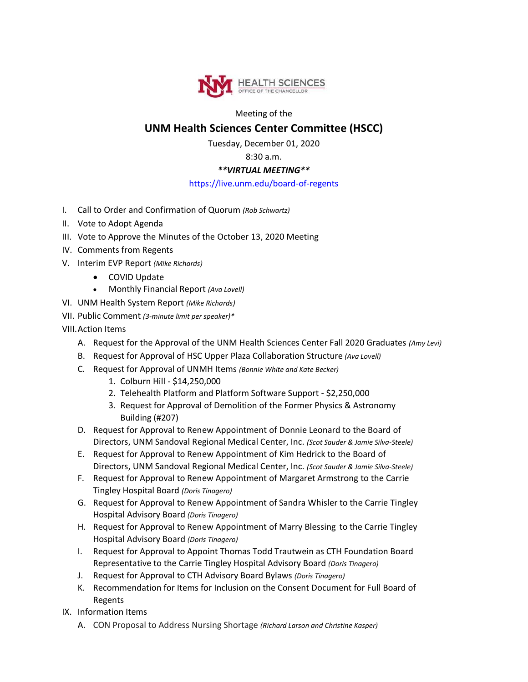

Meeting of the

## **UNM Health Sciences Center Committee (HSCC)**

Tuesday, December 01, 2020

8:30 a.m.

## *\*\*VIRTUAL MEETING\*\**

## <https://live.unm.edu/board-of-regents>

- I. Call to Order and Confirmation of Quorum *(Rob Schwartz)*
- II. Vote to Adopt Agenda
- III. Vote to Approve the Minutes of the October 13, 2020 Meeting
- IV. Comments from Regents
- V. Interim EVP Report *(Mike Richards)*
	- COVID Update
	- Monthly Financial Report *(Ava Lovell)*
- VI. UNM Health System Report *(Mike Richards)*
- VII. Public Comment *(3-minute limit per speaker)\**
- VIII.Action Items
	- A. Request for the Approval of the UNM Health Sciences Center Fall 2020 Graduates *(Amy Levi)*
	- B. Request for Approval of HSC Upper Plaza Collaboration Structure *(Ava Lovell)*
	- C. Request for Approval of UNMH Items *(Bonnie White and Kate Becker)*
		- 1. Colburn Hill \$14,250,000
		- 2. Telehealth Platform and Platform Software Support \$2,250,000
		- 3. Request for Approval of Demolition of the Former Physics & Astronomy Building (#207)
	- D. Request for Approval to Renew Appointment of Donnie Leonard to the Board of Directors, UNM Sandoval Regional Medical Center, Inc. *(Scot Sauder & Jamie Silva-Steele)*
	- E. Request for Approval to Renew Appointment of Kim Hedrick to the Board of Directors, UNM Sandoval Regional Medical Center, Inc. *(Scot Sauder & Jamie Silva-Steele)*
	- F. Request for Approval to Renew Appointment of Margaret Armstrong to the Carrie Tingley Hospital Board *(Doris Tinagero)*
	- G. Request for Approval to Renew Appointment of Sandra Whisler to the Carrie Tingley Hospital Advisory Board *(Doris Tinagero)*
	- H. Request for Approval to Renew Appointment of Marry Blessing to the Carrie Tingley Hospital Advisory Board *(Doris Tinagero)*
	- I. Request for Approval to Appoint Thomas Todd Trautwein as CTH Foundation Board Representative to the Carrie Tingley Hospital Advisory Board *(Doris Tinagero)*
	- J. Request for Approval to CTH Advisory Board Bylaws *(Doris Tinagero)*
	- K. Recommendation for Items for Inclusion on the Consent Document for Full Board of Regents
- IX. Information Items
	- A. CON Proposal to Address Nursing Shortage *(Richard Larson and Christine Kasper)*